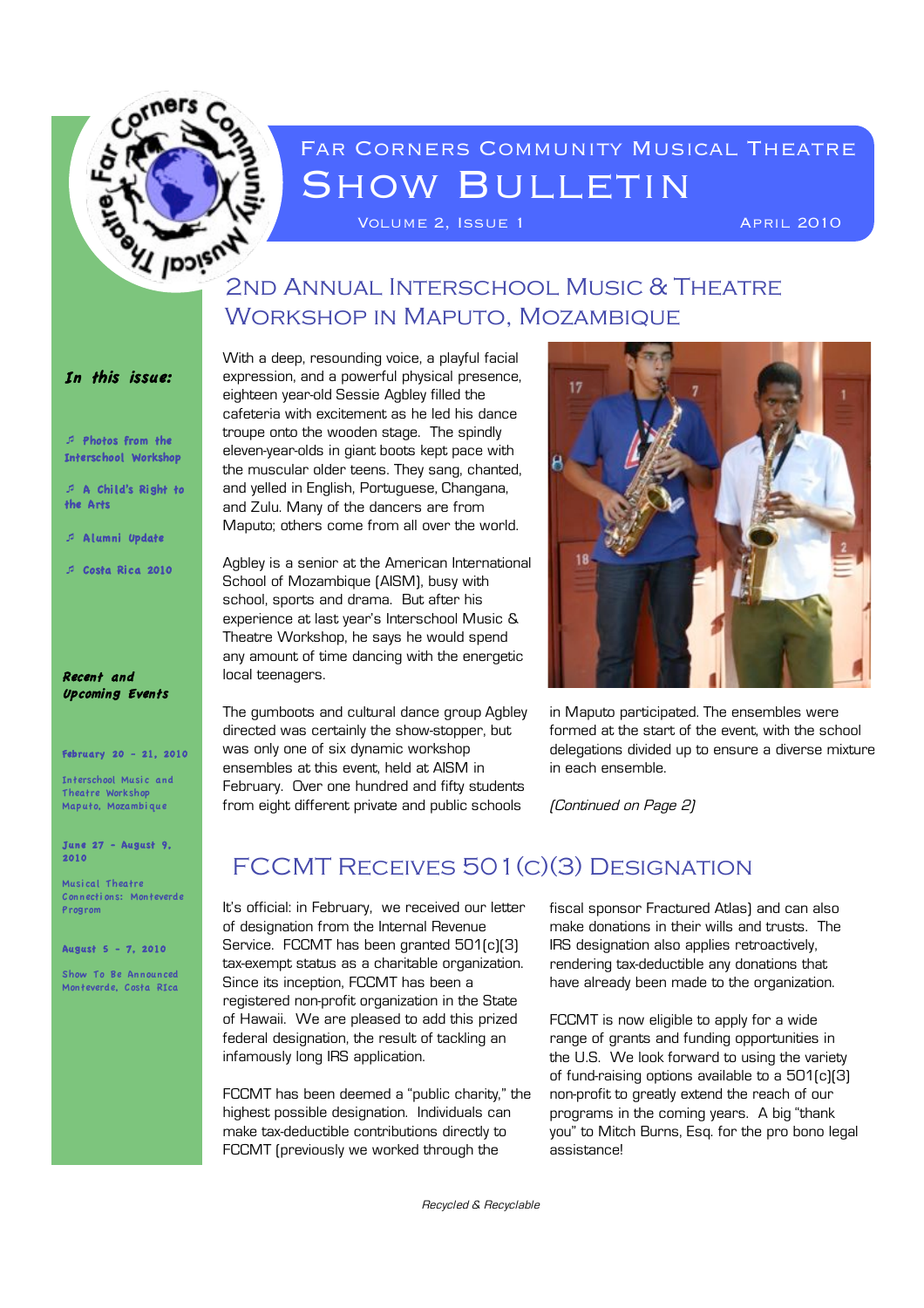

# FAR CORNERS COMMUNITY MUSICAL THEATRE **SHOW BULLETIN**

VOLUME 2, ISSUE 1 April 2010

# **2ND ANNUAL INTERSCHOOL MUSIC & THEATRE** Workshop in Maputo, Mozambique

#### In this issue:

! Photos from the Interschool Workshop

! A Chi ld's Right to the Arts

! A lumni Update

! Costa Rica 2010

#### Recent and Upcoming Events

#### February 20 - 21, 2010

Interschool Music and Theatre Workshop Maputo, Mozambi que

June 27 - August 9, 2010

Musi cal Theatre Connecti ons: Monteverde Progrom

August 5 - 7, 2010

Show To Be Announced Monteverde, Costa RIca

With a deep, resounding voice, a playful facial expression, and a powerful physical presence, eighteen year-old Sessie Agbley filled the cafeteria with excitement as he led his dance troupe onto the wooden stage. The spindly eleven-year-olds in giant boots kept pace with the muscular older teens. They sang, chanted, and yelled in English, Portuguese, Changana, and Zulu. Many of the dancers are from Maputo; others come from all over the world.

Agbley is a senior at the American International School of Mozambique (AISM), busy with school, sports and drama. But after his experience at last year's Interschool Music & Theatre Workshop, he says he would spend any amount of time dancing with the energetic local teenagers.

The gumboots and cultural dance group Agbley directed was certainly the show-stopper, but was only one of six dynamic workshop ensembles at this event, held at AISM in February. Over one hundred and fifty students from eight different private and public schools



in Maputo participated. The ensembles were formed at the start of the event, with the school delegations divided up to ensure a diverse mixture in each ensemble.

(Continued on Page 2)

### FCCMT Receives 501(c)(3) Designation

It's official: in February, we received our letter of designation from the Internal Revenue Service. FCCMT has been granted 501(c)(3) tax-exempt status as a charitable organization. Since its inception, FCCMT has been a registered non-profit organization in the State of Hawaii. We are pleased to add this prized federal designation, the result of tackling an infamously long IRS application.

FCCMT has been deemed a "public charity," the highest possible designation. Individuals can make tax-deductible contributions directly to FCCMT (previously we worked through the

fiscal sponsor Fractured Atlas) and can also make donations in their wills and trusts. The IRS designation also applies retroactively, rendering tax-deductible any donations that have already been made to the organization.

FCCMT is now eligible to apply for a wide range of grants and funding opportunities in the U.S. We look forward to using the variety of fund-raising options available to a 501(c)(3) non-profit to greatly extend the reach of our programs in the coming years. A big "thank you" to Mitch Burns, Esq. for the pro bono legal assistance!

Recycled & Recyclable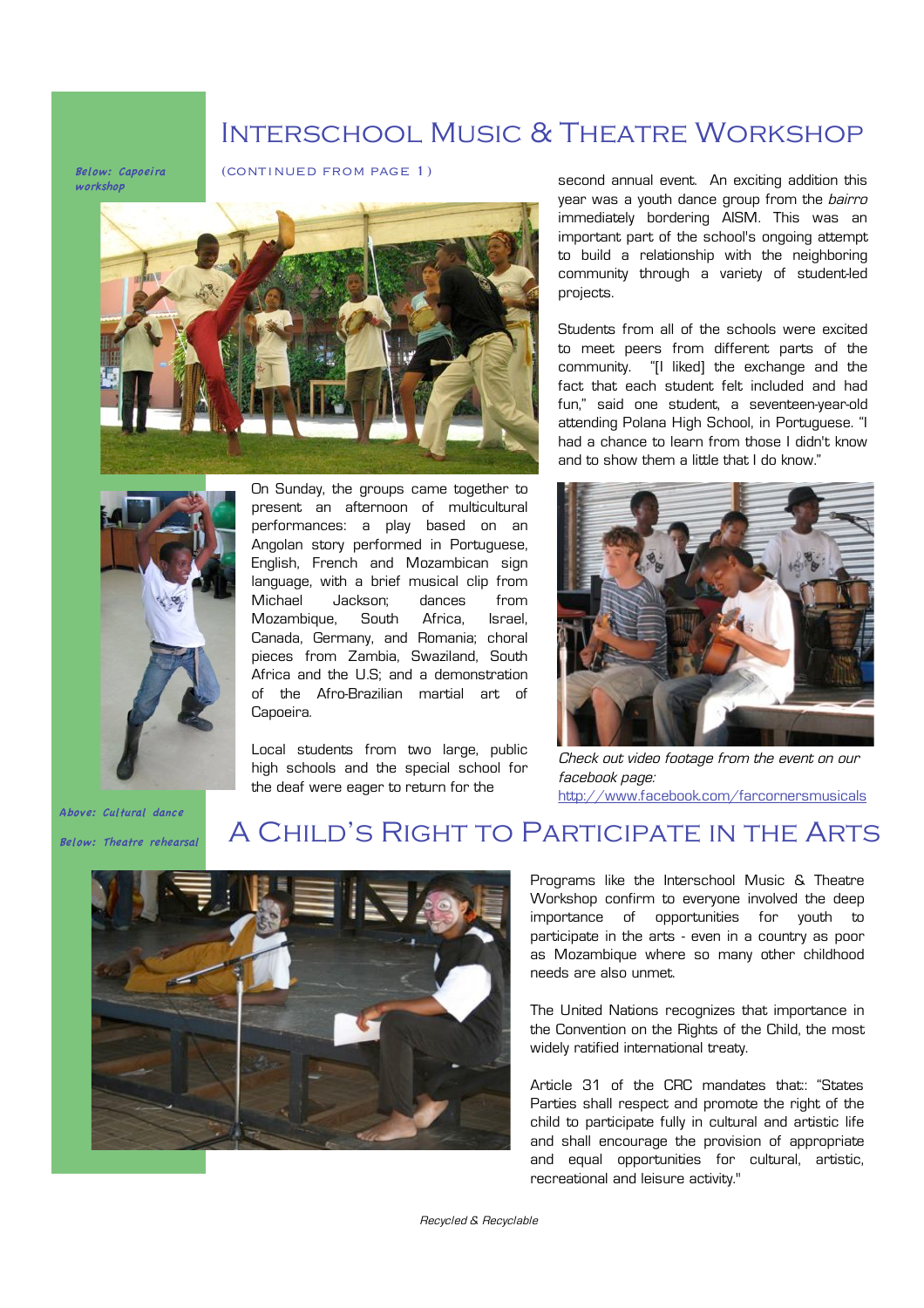### Interschool Music & Theatre Workshop

Below: Capoeira workshop





On Sunday, the groups came together to present an afternoon of multicultural performances: a play based on an Angolan story performed in Portuguese, English, French and Mozambican sign language, with a brief musical clip from Michael Jackson; dances from Mozambique, South Africa, Israel, Canada, Germany, and Romania; choral pieces from Zambia, Swaziland, South Africa and the U.S; and a demonstration of the Afro-Brazilian martial art of Capoeira.

Local students from two large, public high schools and the special school for the deaf were eager to return for the

(continued from page 1) second annual event. An exciting addition this year was a youth dance group from the *bairro* immediately bordering AISM. This was an important part of the school's ongoing attempt to build a relationship with the neighboring community through a variety of student-led projects.

> Students from all of the schools were excited to meet peers from different parts of the community. "[I liked] the exchange and the fact that each student felt included and had fun," said one student, a seventeen-year-old attending Polana High School, in Portuguese. "I had a chance to learn from those I didn't know and to show them a little that I do know."



Check out video footage from the event on our facebook page: http://www.facebook.com/farcornersmusicals

Above: Cultural dance Below: Theatre rehearsal

### A Child's Right to Participate in the Arts



Programs like the Interschool Music & Theatre Workshop confirm to everyone involved the deep importance of opportunities for youth to participate in the arts - even in a country as poor as Mozambique where so many other childhood needs are also unmet.

The United Nations recognizes that importance in the Convention on the Rights of the Child, the most widely ratified international treaty.

Article 31 of the CRC mandates that:: "States Parties shall respect and promote the right of the child to participate fully in cultural and artistic life and shall encourage the provision of appropriate and equal opportunities for cultural, artistic, recreational and leisure activity."

Recycled & Recyclable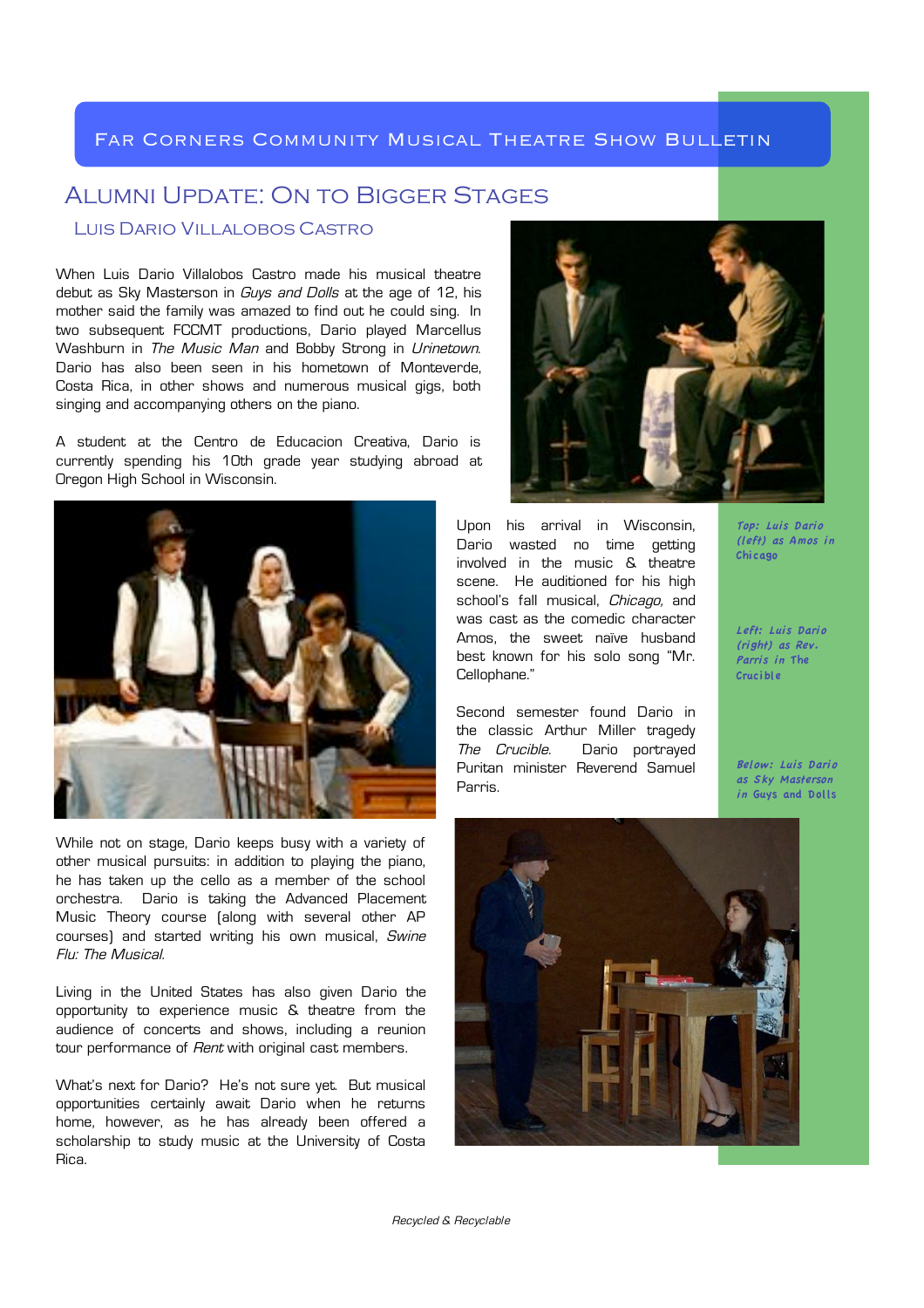#### Far Corners Community Musical Theatre Show Bulletin

### Alumni Update: On to Bigger Stages

#### Luis Dario Villalobos Castro

When Luis Dario Villalobos Castro made his musical theatre debut as Sky Masterson in *Guys and Dolls* at the age of 12, his mother said the family was amazed to find out he could sing. In two subsequent FCCMT productions, Dario played Marcellus Washburn in The Music Man and Bobby Strong in Urinetown. Dario has also been seen in his hometown of Monteverde, Costa Rica, in other shows and numerous musical gigs, both singing and accompanying others on the piano.

A student at the Centro de Educacion Creativa, Dario is currently spending his 10th grade year studying abroad at Oregon High School in Wisconsin.



While not on stage, Dario keeps busy with a variety of other musical pursuits: in addition to playing the piano, he has taken up the cello as a member of the school orchestra. Dario is taking the Advanced Placement Music Theory course (along with several other AP courses) and started writing his own musical, Swine Flu: The Musical.

Living in the United States has also given Dario the opportunity to experience music & theatre from the audience of concerts and shows, including a reunion tour performance of *Rent* with original cast members.

What's next for Dario? He's not sure yet. But musical opportunities certainly await Dario when he returns home, however, as he has already been offered a scholarship to study music at the University of Costa Rica.



Upon his arrival in Wisconsin, Dario wasted no time getting involved in the music & theatre scene. He auditioned for his high school's fall musical, Chicago, and was cast as the comedic character Amos, the sweet naïve husband best known for his solo song "Mr. Cellophane."

Second semester found Dario in the classic Arthur Miller tragedy The Crucible. Dario portrayed Puritan minister Reverend Samuel Parris.

Top: Luis Dario (left) as Amos in Chicago

Left: Luis Dario (right) as Rev. Parris in The Crucible

Below: Luis Dario as Sky Masterson in Guys and Dolls